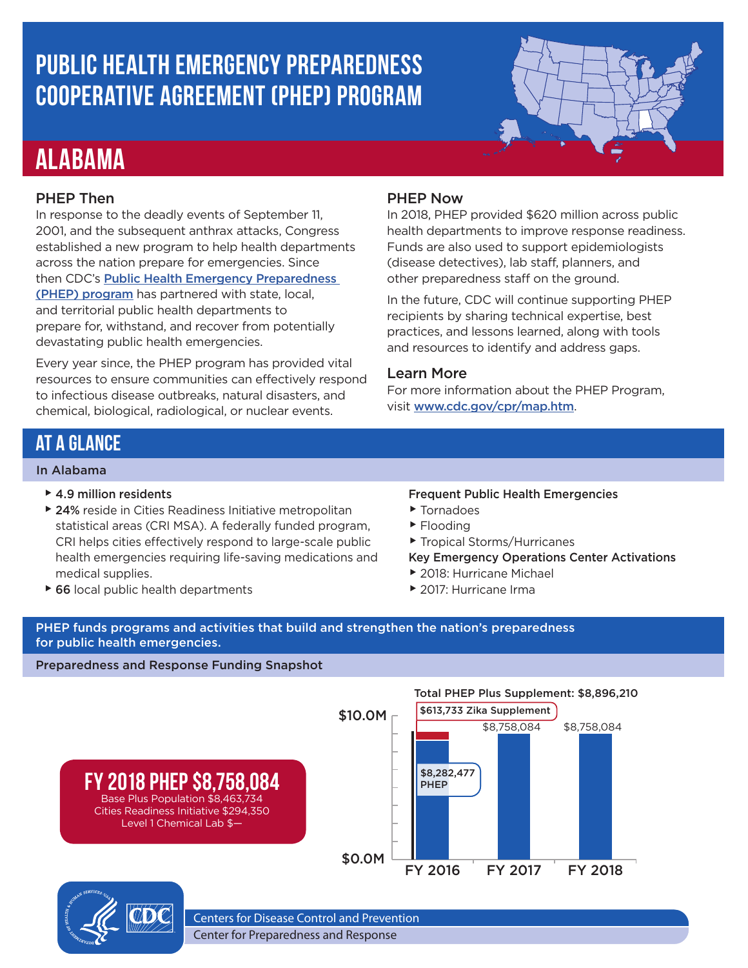## **Public Health Emergency Preparedness Cooperative Agreement (PHEP) Program**

## **Alabama**

#### PHEP Then

In response to the deadly events of September 11, 2001, and the subsequent anthrax attacks, Congress established a new program to help health departments across the nation prepare for emergencies. Since then CDC's **Public Health Emergency Preparedness** [\(PHEP\) program](https://www.cdc.gov/cpr/readiness/phep.htm) has partnered with state, local, and territorial public health departments to prepare for, withstand, and recover from potentially devastating public health emergencies.

Every year since, the PHEP program has provided vital resources to ensure communities can effectively respond to infectious disease outbreaks, natural disasters, and chemical, biological, radiological, or nuclear events.

#### PHEP Now

In 2018, PHEP provided \$620 million across public health departments to improve response readiness. Funds are also used to support epidemiologists (disease detectives), lab staff, planners, and other preparedness staff on the ground.

In the future, CDC will continue supporting PHEP recipients by sharing technical expertise, best practices, and lessons learned, along with tools and resources to identify and address gaps.

#### Learn More

For more information about the PHEP Program, visit [www.cdc.gov/cpr/map.htm](https://www.cdc.gov/cpr/partnerships/map.htm?CDC_AA_refVal=https%3A%2F%2Fwww.cdc.gov%2Fcpr%2Fmap.htm).

### **At A Glance**

#### In Alabama

- $\blacktriangleright$  4.9 million residents
- ▶ 24% reside in Cities Readiness Initiative metropolitan statistical areas (CRI MSA). A federally funded program, CRI helps cities effectively respond to large-scale public health emergencies requiring life-saving medications and medical supplies.
- ▶ 66 local public health departments

#### Frequent Public Health Emergencies

- ▶ Tornadoes
- ▶ Flooding
- ▶ Tropical Storms/Hurricanes
- Key Emergency Operations Center Activations
- ▶ 2018: Hurricane Michael
- ▶ 2017: Hurricane Irma

PHEP funds programs and activities that build and strengthen the nation's preparedness for public health emergencies.

#### Preparedness and Response Funding Snapshot





Centers for Disease Control and Prevention

Center for Preparedness and Response

Total PHEP Plus Supplement: \$8,896,210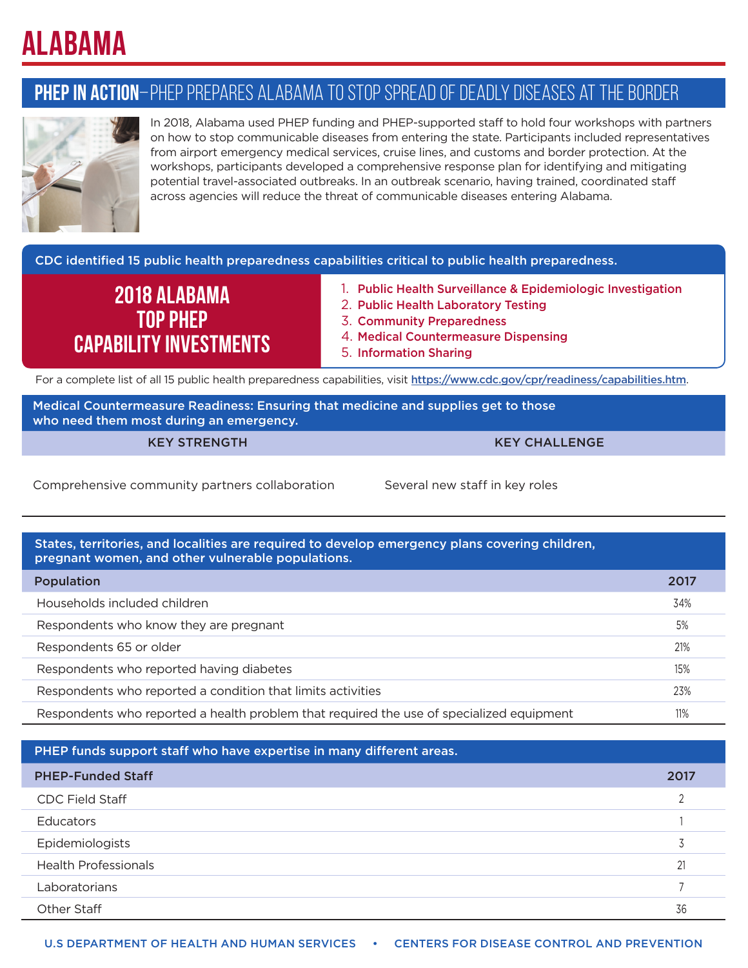# **Alabama**

## **PHEP in Action**–PHEP Prepares Alabama to Stop Spread of Deadly Diseases at the Border



In 2018, Alabama used PHEP funding and PHEP-supported staff to hold four workshops with partners on how to stop communicable diseases from entering the state. Participants included representatives from airport emergency medical services, cruise lines, and customs and border protection. At the workshops, participants developed a comprehensive response plan for identifying and mitigating potential travel-associated outbreaks. In an outbreak scenario, having trained, coordinated staff across agencies will reduce the threat of communicable diseases entering Alabama.

CDC identified 15 public health preparedness capabilities critical to public health preparedness.

## **2018 Alabama Top PHEP Capability Investments**

- 1. Public Health Surveillance & Epidemiologic Investigation
- 2. Public Health Laboratory Testing
- 3. Community Preparedness
- 4. Medical Countermeasure Dispensing
- 5. Information Sharing

For a complete list of all 15 public health preparedness capabilities, visit <https://www.cdc.gov/cpr/readiness/capabilities.htm>.

Medical Countermeasure Readiness: Ensuring that medicine and supplies get to those who need them most during an emergency.

KEY STRENGTH KEY CHALLENGE

Comprehensive community partners collaboration Several new staff in key roles

States, territories, and localities are required to develop emergency plans covering children, pregnant women, and other vulnerable populations. Population 2017

Households included children 34% Respondents who know they are pregnant 5% and 5% and 5% superior for the state of  $\sim$  5% superior  $\sim$  5% superior  $\sim$  5% superior  $\sim$  5% superior  $\sim$  5% superior  $\sim$  5% superior  $\sim$  5% superior  $\sim$  5% superior  $\sim$ Respondents 65 or older 21% Respondents who reported having diabetes 15% and the state of the state 15% and 15% and 15% and 15% and 15% and 15% and 15% and 15% and 15% and 15% and 15% and 15% and 15% and 15% and 15% and 15% and 15% and 15% and 15% an Respondents who reported a condition that limits activities 23% and 23% and 23% and 23% and 23% and 23% and 23% Respondents who reported a health problem that required the use of specialized equipment 11%

PHEP funds support staff who have expertise in many different areas. PHEP-Funded Staff 2017 CDC Field Staff 2 Educators <sup>1</sup> Epidemiologists <sup>3</sup> Health Professionals <sup>21</sup> Laboratorians 7 other Staff 36 and 36 and 36 and 36 and 36 and 36 and 36 and 36 and 36 and 36 and 36 and 36 and 36 and 36 and 36 and 36 and 36 and 36 and 36 and 36 and 36 and 36 and 36 and 36 and 36 and 36 and 36 and 36 and 36 and 36 and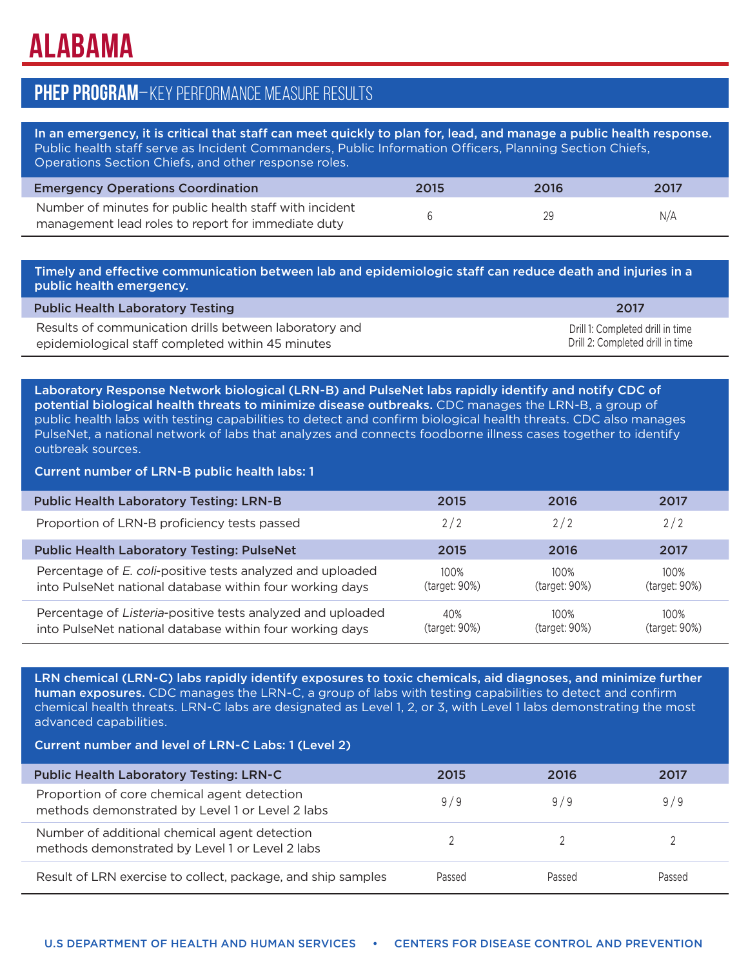# **Alabama**

### **PHEP Program**–Key Performance Measure Results

In an emergency, it is critical that staff can meet quickly to plan for, lead, and manage a public health response. Public health staff serve as Incident Commanders, Public Information Officers, Planning Section Chiefs, Operations Section Chiefs, and other response roles.

| <b>Emergency Operations Coordination</b>                                                                      | 2015 | 2016 | 2017 |
|---------------------------------------------------------------------------------------------------------------|------|------|------|
| Number of minutes for public health staff with incident<br>management lead roles to report for immediate duty |      | 29   | N/A  |

Timely and effective communication between lab and epidemiologic staff can reduce death and injuries in a public health emergency.

| <b>Public Health Laboratory Testing</b>                | 2017                             |
|--------------------------------------------------------|----------------------------------|
| Results of communication drills between laboratory and | Drill 1: Completed drill in time |
| epidemiological staff completed within 45 minutes      | Drill 2: Completed drill in time |

Laboratory Response Network biological (LRN-B) and PulseNet labs rapidly identify and notify CDC of potential biological health threats to minimize disease outbreaks. CDC manages the LRN-B, a group of public health labs with testing capabilities to detect and confirm biological health threats. CDC also manages PulseNet, a national network of labs that analyzes and connects foodborne illness cases together to identify outbreak sources.

Current number of LRN-B public health labs: 1

| <b>Public Health Laboratory Testing: LRN-B</b>                                                                          | 2015                     | 2016                  | 2017                     |
|-------------------------------------------------------------------------------------------------------------------------|--------------------------|-----------------------|--------------------------|
| Proportion of LRN-B proficiency tests passed                                                                            | 2/2                      | 2/2                   | 2/2                      |
| <b>Public Health Laboratory Testing: PulseNet</b>                                                                       | 2015                     | 2016                  | 2017                     |
| Percentage of E. coli-positive tests analyzed and uploaded<br>into PulseNet national database within four working days  | $100\%$<br>(target: 90%) | 100%<br>(target: 90%) | $100\%$<br>(target: 90%) |
| Percentage of Listeria-positive tests analyzed and uploaded<br>into PulseNet national database within four working days | 40%<br>(target: 90%)     | 100%<br>(target: 90%) | 100%<br>(target: 90%)    |

LRN chemical (LRN-C) labs rapidly identify exposures to toxic chemicals, aid diagnoses, and minimize further human exposures. CDC manages the LRN-C, a group of labs with testing capabilities to detect and confirm chemical health threats. LRN-C labs are designated as Level 1, 2, or 3, with Level 1 labs demonstrating the most advanced capabilities.

Current number and level of LRN-C Labs: 1 (Level 2)

| <b>Public Health Laboratory Testing: LRN-C</b>                                                   | 2015   | 2016   | 2017   |
|--------------------------------------------------------------------------------------------------|--------|--------|--------|
| Proportion of core chemical agent detection<br>methods demonstrated by Level 1 or Level 2 labs   | 9/9    | 9/9    | 9/9    |
| Number of additional chemical agent detection<br>methods demonstrated by Level 1 or Level 2 labs |        |        |        |
| Result of LRN exercise to collect, package, and ship samples                                     | Passed | Passed | Passed |